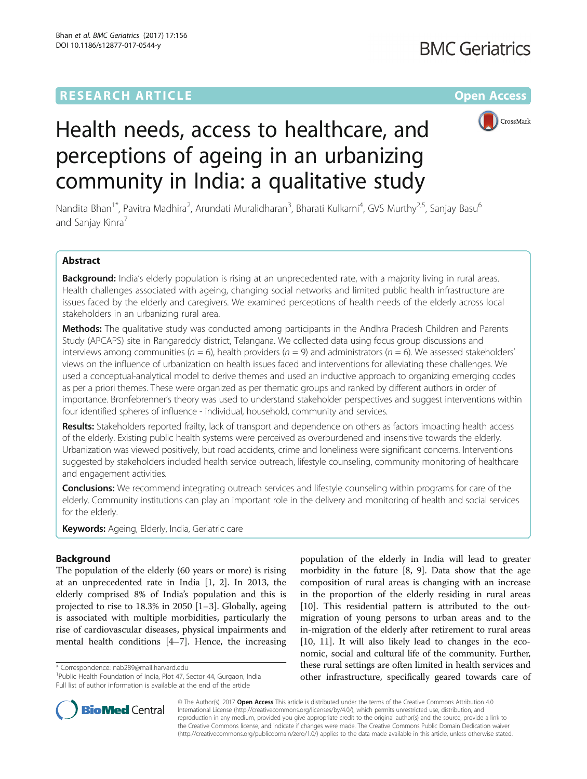## **RESEARCH ARTICLE Example 2018 12:00 Department of the CONNECTION CONNECTION CONNECTION CONNECTION CONNECTION**



# Health needs, access to healthcare, and perceptions of ageing in an urbanizing community in India: a qualitative study

Nandita Bhan<sup>1\*</sup>, Pavitra Madhira<sup>2</sup>, Arundati Muralidharan<sup>3</sup>, Bharati Kulkarni<sup>4</sup>, GVS Murthy<sup>2,5</sup>, Sanjay Basu<sup>6</sup> and Sanjay Kinra<sup>7</sup>

## Abstract

Background: India's elderly population is rising at an unprecedented rate, with a majority living in rural areas. Health challenges associated with ageing, changing social networks and limited public health infrastructure are issues faced by the elderly and caregivers. We examined perceptions of health needs of the elderly across local stakeholders in an urbanizing rural area.

**Methods:** The qualitative study was conducted among participants in the Andhra Pradesh Children and Parents Study (APCAPS) site in Rangareddy district, Telangana. We collected data using focus group discussions and interviews among communities ( $n = 6$ ), health providers ( $n = 9$ ) and administrators ( $n = 6$ ). We assessed stakeholders' views on the influence of urbanization on health issues faced and interventions for alleviating these challenges. We used a conceptual-analytical model to derive themes and used an inductive approach to organizing emerging codes as per a priori themes. These were organized as per thematic groups and ranked by different authors in order of importance. Bronfebrenner's theory was used to understand stakeholder perspectives and suggest interventions within four identified spheres of influence - individual, household, community and services.

Results: Stakeholders reported frailty, lack of transport and dependence on others as factors impacting health access of the elderly. Existing public health systems were perceived as overburdened and insensitive towards the elderly. Urbanization was viewed positively, but road accidents, crime and loneliness were significant concerns. Interventions suggested by stakeholders included health service outreach, lifestyle counseling, community monitoring of healthcare and engagement activities.

**Conclusions:** We recommend integrating outreach services and lifestyle counseling within programs for care of the elderly. Community institutions can play an important role in the delivery and monitoring of health and social services for the elderly.

Keywords: Ageing, Elderly, India, Geriatric care

## Background

The population of the elderly (60 years or more) is rising at an unprecedented rate in India [[1, 2\]](#page-9-0). In 2013, the elderly comprised 8% of India's population and this is projected to rise to 18.3% in 2050 [\[1](#page-9-0)–[3\]](#page-9-0). Globally, ageing is associated with multiple morbidities, particularly the rise of cardiovascular diseases, physical impairments and mental health conditions [\[4](#page-9-0)–[7](#page-9-0)]. Hence, the increasing

\* Correspondence: [nab289@mail.harvard.edu](mailto:nab289@mail.harvard.edu) <sup>1</sup>

<sup>1</sup>Public Health Foundation of India, Plot 47, Sector 44, Gurgaon, India Full list of author information is available at the end of the article

population of the elderly in India will lead to greater morbidity in the future [[8](#page-9-0), [9\]](#page-9-0). Data show that the age composition of rural areas is changing with an increase in the proportion of the elderly residing in rural areas [[10\]](#page-9-0). This residential pattern is attributed to the outmigration of young persons to urban areas and to the in-migration of the elderly after retirement to rural areas [[10, 11](#page-9-0)]. It will also likely lead to changes in the economic, social and cultural life of the community. Further, these rural settings are often limited in health services and other infrastructure, specifically geared towards care of



© The Author(s). 2017 **Open Access** This article is distributed under the terms of the Creative Commons Attribution 4.0 International License [\(http://creativecommons.org/licenses/by/4.0/](http://creativecommons.org/licenses/by/4.0/)), which permits unrestricted use, distribution, and reproduction in any medium, provided you give appropriate credit to the original author(s) and the source, provide a link to the Creative Commons license, and indicate if changes were made. The Creative Commons Public Domain Dedication waiver [\(http://creativecommons.org/publicdomain/zero/1.0/](http://creativecommons.org/publicdomain/zero/1.0/)) applies to the data made available in this article, unless otherwise stated.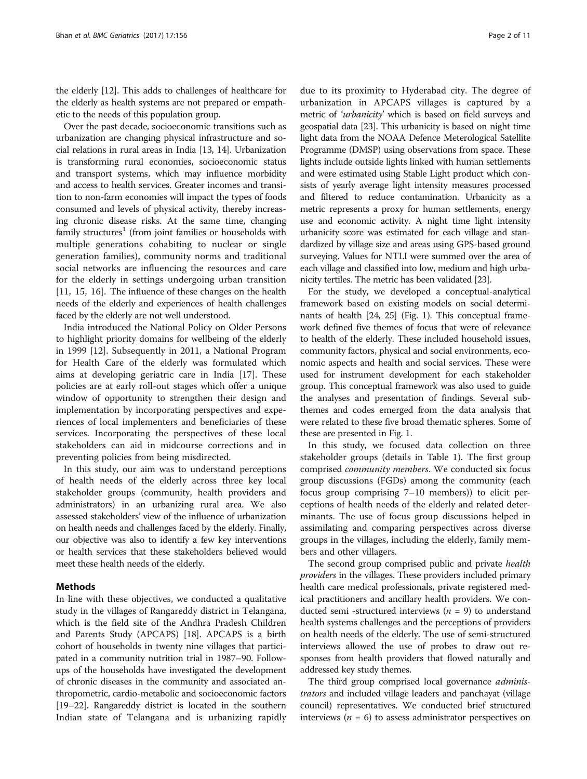the elderly [[12](#page-9-0)]. This adds to challenges of healthcare for the elderly as health systems are not prepared or empathetic to the needs of this population group.

Over the past decade, socioeconomic transitions such as urbanization are changing physical infrastructure and social relations in rural areas in India [\[13, 14\]](#page-9-0). Urbanization is transforming rural economies, socioeconomic status and transport systems, which may influence morbidity and access to health services. Greater incomes and transition to non-farm economies will impact the types of foods consumed and levels of physical activity, thereby increasing chronic disease risks. At the same time, changing family structures<sup>1</sup> (from joint families or households with multiple generations cohabiting to nuclear or single generation families), community norms and traditional social networks are influencing the resources and care for the elderly in settings undergoing urban transition [[11, 15](#page-9-0), [16](#page-9-0)]. The influence of these changes on the health needs of the elderly and experiences of health challenges faced by the elderly are not well understood.

India introduced the National Policy on Older Persons to highlight priority domains for wellbeing of the elderly in 1999 [[12\]](#page-9-0). Subsequently in 2011, a National Program for Health Care of the elderly was formulated which aims at developing geriatric care in India [[17\]](#page-9-0). These policies are at early roll-out stages which offer a unique window of opportunity to strengthen their design and implementation by incorporating perspectives and experiences of local implementers and beneficiaries of these services. Incorporating the perspectives of these local stakeholders can aid in midcourse corrections and in preventing policies from being misdirected.

In this study, our aim was to understand perceptions of health needs of the elderly across three key local stakeholder groups (community, health providers and administrators) in an urbanizing rural area. We also assessed stakeholders' view of the influence of urbanization on health needs and challenges faced by the elderly. Finally, our objective was also to identify a few key interventions or health services that these stakeholders believed would meet these health needs of the elderly.

#### Methods

In line with these objectives, we conducted a qualitative study in the villages of Rangareddy district in Telangana, which is the field site of the Andhra Pradesh Children and Parents Study (APCAPS) [[18](#page-9-0)]. APCAPS is a birth cohort of households in twenty nine villages that participated in a community nutrition trial in 1987–90. Followups of the households have investigated the development of chronic diseases in the community and associated anthropometric, cardio-metabolic and socioeconomic factors [[19](#page-9-0)–[22\]](#page-10-0). Rangareddy district is located in the southern Indian state of Telangana and is urbanizing rapidly

due to its proximity to Hyderabad city. The degree of urbanization in APCAPS villages is captured by a metric of 'urbanicity' which is based on field surveys and geospatial data [\[23\]](#page-10-0). This urbanicity is based on night time light data from the NOAA Defence Meterological Satellite Programme (DMSP) using observations from space. These lights include outside lights linked with human settlements and were estimated using Stable Light product which consists of yearly average light intensity measures processed and filtered to reduce contamination. Urbanicity as a metric represents a proxy for human settlements, energy use and economic activity. A night time light intensity urbanicity score was estimated for each village and standardized by village size and areas using GPS-based ground surveying. Values for NTLI were summed over the area of each village and classified into low, medium and high urbanicity tertiles. The metric has been validated [\[23](#page-10-0)].

For the study, we developed a conceptual-analytical framework based on existing models on social determinants of health [[24](#page-10-0), [25\]](#page-10-0) (Fig. [1](#page-2-0)). This conceptual framework defined five themes of focus that were of relevance to health of the elderly. These included household issues, community factors, physical and social environments, economic aspects and health and social services. These were used for instrument development for each stakeholder group. This conceptual framework was also used to guide the analyses and presentation of findings. Several subthemes and codes emerged from the data analysis that were related to these five broad thematic spheres. Some of these are presented in Fig. [1](#page-2-0).

In this study, we focused data collection on three stakeholder groups (details in Table [1\)](#page-2-0). The first group comprised community members. We conducted six focus group discussions (FGDs) among the community (each focus group comprising 7–10 members)) to elicit perceptions of health needs of the elderly and related determinants. The use of focus group discussions helped in assimilating and comparing perspectives across diverse groups in the villages, including the elderly, family members and other villagers.

The second group comprised public and private *health* providers in the villages. These providers included primary health care medical professionals, private registered medical practitioners and ancillary health providers. We conducted semi-structured interviews ( $n = 9$ ) to understand health systems challenges and the perceptions of providers on health needs of the elderly. The use of semi-structured interviews allowed the use of probes to draw out responses from health providers that flowed naturally and addressed key study themes.

The third group comprised local governance *adminis*trators and included village leaders and panchayat (village council) representatives. We conducted brief structured interviews ( $n = 6$ ) to assess administrator perspectives on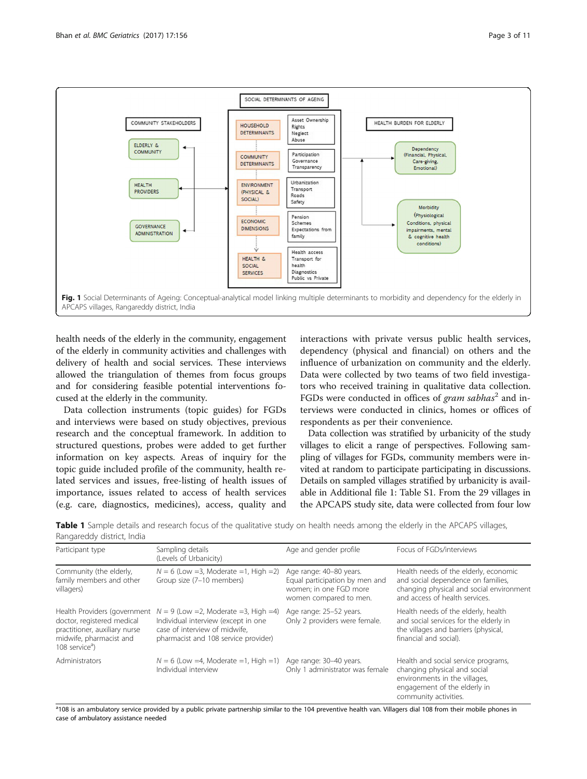<span id="page-2-0"></span>

health needs of the elderly in the community, engagement of the elderly in community activities and challenges with delivery of health and social services. These interviews allowed the triangulation of themes from focus groups and for considering feasible potential interventions focused at the elderly in the community.

Data collection instruments (topic guides) for FGDs and interviews were based on study objectives, previous research and the conceptual framework. In addition to structured questions, probes were added to get further information on key aspects. Areas of inquiry for the topic guide included profile of the community, health related services and issues, free-listing of health issues of importance, issues related to access of health services (e.g. care, diagnostics, medicines), access, quality and

interactions with private versus public health services, dependency (physical and financial) on others and the influence of urbanization on community and the elderly. Data were collected by two teams of two field investigators who received training in qualitative data collection. FGDs were conducted in offices of gram sabhas<sup>2</sup> and interviews were conducted in clinics, homes or offices of respondents as per their convenience.

Data collection was stratified by urbanicity of the study villages to elicit a range of perspectives. Following sampling of villages for FGDs, community members were invited at random to participate participating in discussions. Details on sampled villages stratified by urbanicity is available in Additional file [1](#page-9-0): Table S1. From the 29 villages in the APCAPS study site, data were collected from four low

Table 1 Sample details and research focus of the qualitative study on health needs among the elderly in the APCAPS villages, Rangareddy district, India

| Participant type                                                                                                                                     | Sampling details<br>(Levels of Urbanicity)                                                                                                             | Age and gender profile                                                                                        | Focus of FGDs/interviews                                                                                                                                      |
|------------------------------------------------------------------------------------------------------------------------------------------------------|--------------------------------------------------------------------------------------------------------------------------------------------------------|---------------------------------------------------------------------------------------------------------------|---------------------------------------------------------------------------------------------------------------------------------------------------------------|
| Community (the elderly,<br>family members and other<br>villagers)                                                                                    | $N = 6$ (Low =3, Moderate =1, High =2)<br>Group size (7-10 members)                                                                                    | Age range: 40-80 years.<br>Equal participation by men and<br>women; in one FGD more<br>women compared to men. | Health needs of the elderly, economic<br>and social dependence on families,<br>changing physical and social environment<br>and access of health services.     |
| Health Providers (government<br>doctor, registered medical<br>practitioner, auxiliary nurse<br>midwife, pharmacist and<br>108 service <sup>a</sup> ) | $N = 9$ (Low =2, Moderate =3, High =4)<br>Individual interview (except in one<br>case of interview of midwife.<br>pharmacist and 108 service provider) | Age range: 25-52 years.<br>Only 2 providers were female.                                                      | Health needs of the elderly, health<br>and social services for the elderly in<br>the villages and barriers (physical,<br>financial and social).               |
| Administrators                                                                                                                                       | $N = 6$ (Low =4, Moderate =1, High =1) Age range: 30-40 years.<br>Individual interview                                                                 | Only 1 administrator was female                                                                               | Health and social service programs,<br>changing physical and social<br>environments in the villages,<br>engagement of the elderly in<br>community activities. |

<sup>a</sup>108 is an ambulatory service provided by a public private partnership similar to the 104 preventive health van. Villagers dial 108 from their mobile phones in case of ambulatory assistance needed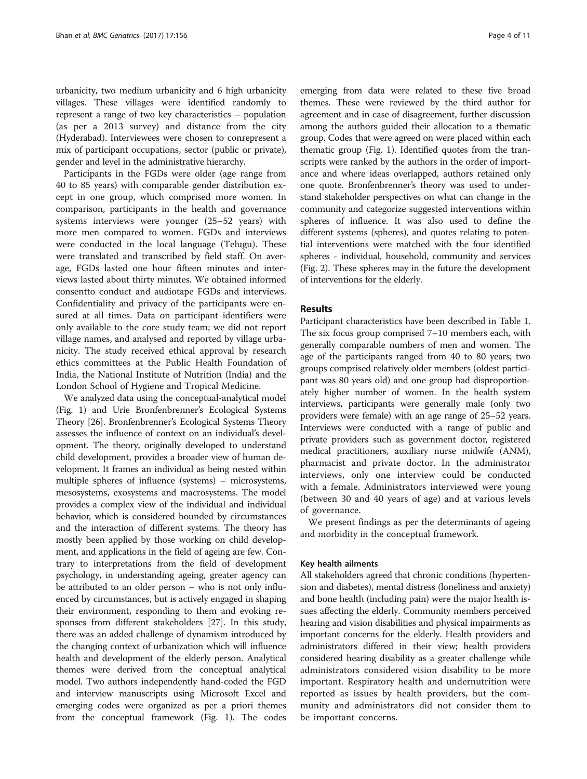urbanicity, two medium urbanicity and 6 high urbanicity villages. These villages were identified randomly to represent a range of two key characteristics – population (as per a 2013 survey) and distance from the city (Hyderabad). Interviewees were chosen to conrepresent a mix of participant occupations, sector (public or private), gender and level in the administrative hierarchy.

Participants in the FGDs were older (age range from 40 to 85 years) with comparable gender distribution except in one group, which comprised more women. In comparison, participants in the health and governance systems interviews were younger (25–52 years) with more men compared to women. FGDs and interviews were conducted in the local language (Telugu). These were translated and transcribed by field staff. On average, FGDs lasted one hour fifteen minutes and interviews lasted about thirty minutes. We obtained informed consentto conduct and audiotape FGDs and interviews. Confidentiality and privacy of the participants were ensured at all times. Data on participant identifiers were only available to the core study team; we did not report village names, and analysed and reported by village urbanicity. The study received ethical approval by research ethics committees at the Public Health Foundation of India, the National Institute of Nutrition (India) and the London School of Hygiene and Tropical Medicine.

We analyzed data using the conceptual-analytical model (Fig. [1\)](#page-2-0) and Urie Bronfenbrenner's Ecological Systems Theory [\[26\]](#page-10-0). Bronfenbrenner's Ecological Systems Theory assesses the influence of context on an individual's development. The theory, originally developed to understand child development, provides a broader view of human development. It frames an individual as being nested within multiple spheres of influence (systems) – microsystems, mesosystems, exosystems and macrosystems. The model provides a complex view of the individual and individual behavior, which is considered bounded by circumstances and the interaction of different systems. The theory has mostly been applied by those working on child development, and applications in the field of ageing are few. Contrary to interpretations from the field of development psychology, in understanding ageing, greater agency can be attributed to an older person – who is not only influenced by circumstances, but is actively engaged in shaping their environment, responding to them and evoking responses from different stakeholders [[27\]](#page-10-0). In this study, there was an added challenge of dynamism introduced by the changing context of urbanization which will influence health and development of the elderly person. Analytical themes were derived from the conceptual analytical model. Two authors independently hand-coded the FGD and interview manuscripts using Microsoft Excel and emerging codes were organized as per a priori themes from the conceptual framework (Fig. [1\)](#page-2-0). The codes

emerging from data were related to these five broad themes. These were reviewed by the third author for agreement and in case of disagreement, further discussion among the authors guided their allocation to a thematic group. Codes that were agreed on were placed within each thematic group (Fig. [1](#page-2-0)). Identified quotes from the transcripts were ranked by the authors in the order of importance and where ideas overlapped, authors retained only one quote. Bronfenbrenner's theory was used to understand stakeholder perspectives on what can change in the community and categorize suggested interventions within spheres of influence. It was also used to define the different systems (spheres), and quotes relating to potential interventions were matched with the four identified spheres - individual, household, community and services (Fig. [2\)](#page-4-0). These spheres may in the future the development of interventions for the elderly.

## Results

Participant characteristics have been described in Table [1](#page-2-0). The six focus group comprised 7–10 members each, with generally comparable numbers of men and women. The age of the participants ranged from 40 to 80 years; two groups comprised relatively older members (oldest participant was 80 years old) and one group had disproportionately higher number of women. In the health system interviews, participants were generally male (only two providers were female) with an age range of 25–52 years. Interviews were conducted with a range of public and private providers such as government doctor, registered medical practitioners, auxiliary nurse midwife (ANM), pharmacist and private doctor. In the administrator interviews, only one interview could be conducted with a female. Administrators interviewed were young (between 30 and 40 years of age) and at various levels of governance.

We present findings as per the determinants of ageing and morbidity in the conceptual framework.

#### Key health ailments

All stakeholders agreed that chronic conditions (hypertension and diabetes), mental distress (loneliness and anxiety) and bone health (including pain) were the major health issues affecting the elderly. Community members perceived hearing and vision disabilities and physical impairments as important concerns for the elderly. Health providers and administrators differed in their view; health providers considered hearing disability as a greater challenge while administrators considered vision disability to be more important. Respiratory health and undernutrition were reported as issues by health providers, but the community and administrators did not consider them to be important concerns.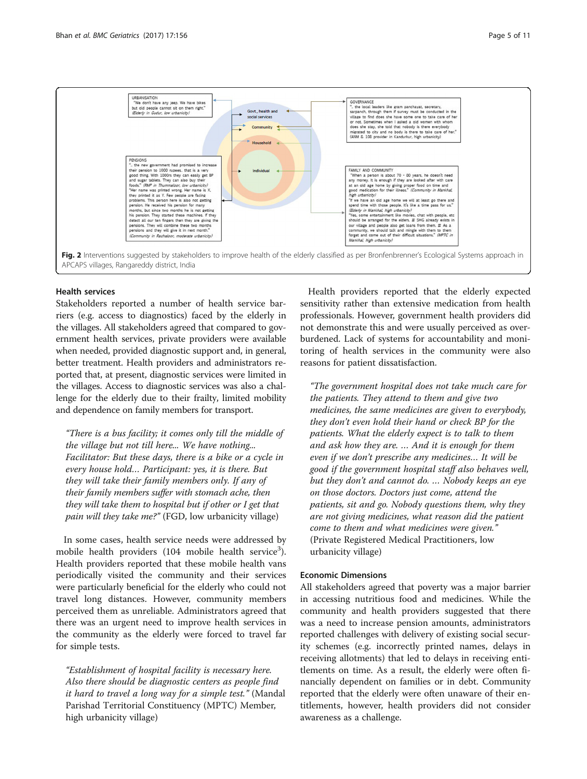<span id="page-4-0"></span>

## Health services

Stakeholders reported a number of health service barriers (e.g. access to diagnostics) faced by the elderly in the villages. All stakeholders agreed that compared to government health services, private providers were available when needed, provided diagnostic support and, in general, better treatment. Health providers and administrators reported that, at present, diagnostic services were limited in the villages. Access to diagnostic services was also a challenge for the elderly due to their frailty, limited mobility and dependence on family members for transport.

"There is a bus facility; it comes only till the middle of the village but not till here... We have nothing... Facilitator: But these days, there is a bike or a cycle in every house hold… Participant: yes, it is there. But they will take their family members only. If any of their family members suffer with stomach ache, then they will take them to hospital but if other or I get that pain will they take me?" (FGD, low urbanicity village)

In some cases, health service needs were addressed by mobile health providers (104 mobile health service<sup>3</sup>). Health providers reported that these mobile health vans periodically visited the community and their services were particularly beneficial for the elderly who could not travel long distances. However, community members perceived them as unreliable. Administrators agreed that there was an urgent need to improve health services in the community as the elderly were forced to travel far for simple tests.

"Establishment of hospital facility is necessary here. Also there should be diagnostic centers as people find it hard to travel a long way for a simple test." (Mandal Parishad Territorial Constituency (MPTC) Member, high urbanicity village)

Health providers reported that the elderly expected sensitivity rather than extensive medication from health professionals. However, government health providers did not demonstrate this and were usually perceived as overburdened. Lack of systems for accountability and monitoring of health services in the community were also reasons for patient dissatisfaction.

"The government hospital does not take much care for the patients. They attend to them and give two medicines, the same medicines are given to everybody, they don't even hold their hand or check BP for the patients. What the elderly expect is to talk to them and ask how they are. … And it is enough for them even if we don't prescribe any medicines… It will be good if the government hospital staff also behaves well, but they don't and cannot do. … Nobody keeps an eye on those doctors. Doctors just come, attend the patients, sit and go. Nobody questions them, why they are not giving medicines, what reason did the patient come to them and what medicines were given." (Private Registered Medical Practitioners, low urbanicity village)

#### Economic Dimensions

All stakeholders agreed that poverty was a major barrier in accessing nutritious food and medicines. While the community and health providers suggested that there was a need to increase pension amounts, administrators reported challenges with delivery of existing social security schemes (e.g. incorrectly printed names, delays in receiving allotments) that led to delays in receiving entitlements on time. As a result, the elderly were often financially dependent on families or in debt. Community reported that the elderly were often unaware of their entitlements, however, health providers did not consider awareness as a challenge.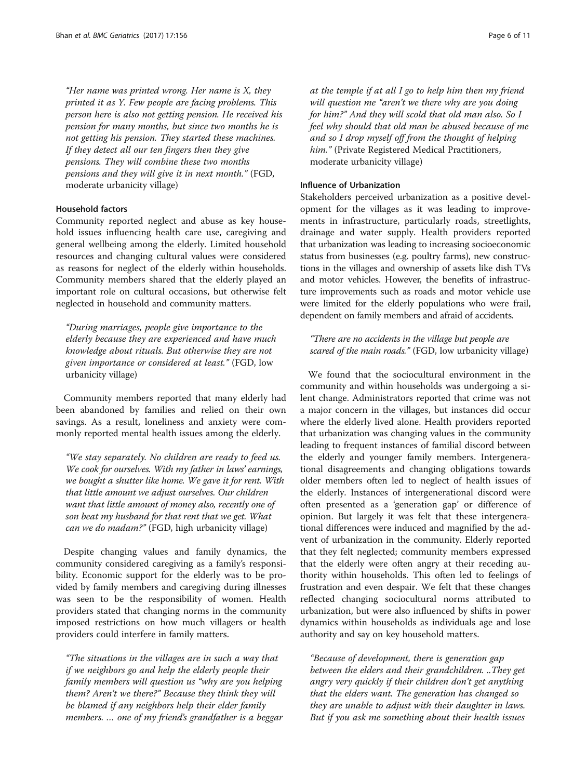"Her name was printed wrong. Her name is  $X$ , they printed it as Y. Few people are facing problems. This person here is also not getting pension. He received his pension for many months, but since two months he is not getting his pension. They started these machines. If they detect all our ten fingers then they give pensions. They will combine these two months pensions and they will give it in next month." (FGD, moderate urbanicity village)

## Household factors

Community reported neglect and abuse as key household issues influencing health care use, caregiving and general wellbeing among the elderly. Limited household resources and changing cultural values were considered as reasons for neglect of the elderly within households. Community members shared that the elderly played an important role on cultural occasions, but otherwise felt neglected in household and community matters.

"During marriages, people give importance to the elderly because they are experienced and have much knowledge about rituals. But otherwise they are not given importance or considered at least." (FGD, low urbanicity village)

Community members reported that many elderly had been abandoned by families and relied on their own savings. As a result, loneliness and anxiety were commonly reported mental health issues among the elderly.

"We stay separately. No children are ready to feed us. We cook for ourselves. With my father in laws' earnings, we bought a shutter like home. We gave it for rent. With that little amount we adjust ourselves. Our children want that little amount of money also, recently one of son beat my husband for that rent that we get. What can we do madam?" (FGD, high urbanicity village)

Despite changing values and family dynamics, the community considered caregiving as a family's responsibility. Economic support for the elderly was to be provided by family members and caregiving during illnesses was seen to be the responsibility of women. Health providers stated that changing norms in the community imposed restrictions on how much villagers or health providers could interfere in family matters.

"The situations in the villages are in such a way that if we neighbors go and help the elderly people their family members will question us "why are you helping them? Aren't we there?" Because they think they will be blamed if any neighbors help their elder family members. … one of my friend's grandfather is a beggar at the temple if at all I go to help him then my friend will question me "aren't we there why are you doing for him?" And they will scold that old man also. So I feel why should that old man be abused because of me and so I drop myself off from the thought of helping him." (Private Registered Medical Practitioners, moderate urbanicity village)

## Influence of Urbanization

Stakeholders perceived urbanization as a positive development for the villages as it was leading to improvements in infrastructure, particularly roads, streetlights, drainage and water supply. Health providers reported that urbanization was leading to increasing socioeconomic status from businesses (e.g. poultry farms), new constructions in the villages and ownership of assets like dish TVs and motor vehicles. However, the benefits of infrastructure improvements such as roads and motor vehicle use were limited for the elderly populations who were frail, dependent on family members and afraid of accidents.

"There are no accidents in the village but people are scared of the main roads." (FGD, low urbanicity village)

We found that the sociocultural environment in the community and within households was undergoing a silent change. Administrators reported that crime was not a major concern in the villages, but instances did occur where the elderly lived alone. Health providers reported that urbanization was changing values in the community leading to frequent instances of familial discord between the elderly and younger family members. Intergenerational disagreements and changing obligations towards older members often led to neglect of health issues of the elderly. Instances of intergenerational discord were often presented as a 'generation gap' or difference of opinion. But largely it was felt that these intergenerational differences were induced and magnified by the advent of urbanization in the community. Elderly reported that they felt neglected; community members expressed that the elderly were often angry at their receding authority within households. This often led to feelings of frustration and even despair. We felt that these changes reflected changing sociocultural norms attributed to urbanization, but were also influenced by shifts in power dynamics within households as individuals age and lose authority and say on key household matters.

"Because of development, there is generation gap between the elders and their grandchildren. ..They get angry very quickly if their children don't get anything that the elders want. The generation has changed so they are unable to adjust with their daughter in laws. But if you ask me something about their health issues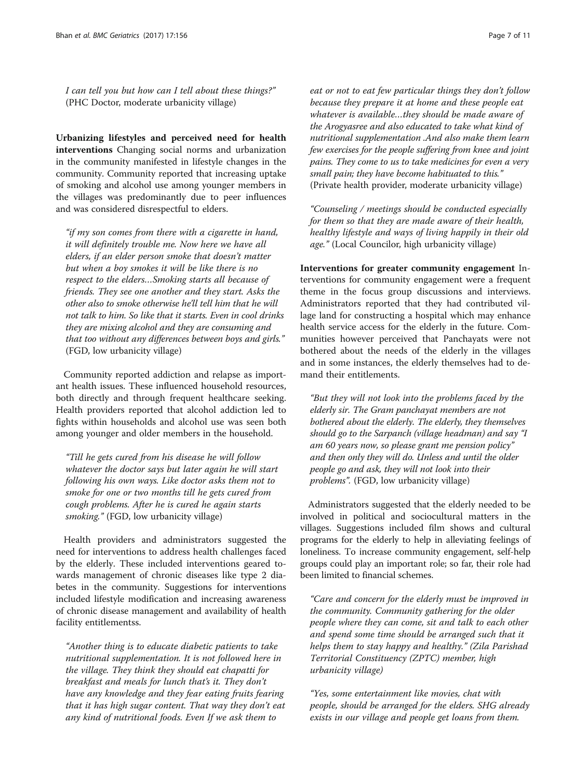I can tell you but how can I tell about these things?" (PHC Doctor, moderate urbanicity village)

Urbanizing lifestyles and perceived need for health interventions Changing social norms and urbanization in the community manifested in lifestyle changes in the community. Community reported that increasing uptake of smoking and alcohol use among younger members in the villages was predominantly due to peer influences and was considered disrespectful to elders.

"if my son comes from there with a cigarette in hand, it will definitely trouble me. Now here we have all elders, if an elder person smoke that doesn't matter but when a boy smokes it will be like there is no respect to the elders…Smoking starts all because of friends. They see one another and they start. Asks the other also to smoke otherwise he'll tell him that he will not talk to him. So like that it starts. Even in cool drinks they are mixing alcohol and they are consuming and that too without any differences between boys and girls." (FGD, low urbanicity village)

Community reported addiction and relapse as important health issues. These influenced household resources, both directly and through frequent healthcare seeking. Health providers reported that alcohol addiction led to fights within households and alcohol use was seen both among younger and older members in the household.

"Till he gets cured from his disease he will follow whatever the doctor says but later again he will start following his own ways. Like doctor asks them not to smoke for one or two months till he gets cured from cough problems. After he is cured he again starts smoking." (FGD, low urbanicity village)

Health providers and administrators suggested the need for interventions to address health challenges faced by the elderly. These included interventions geared towards management of chronic diseases like type 2 diabetes in the community. Suggestions for interventions included lifestyle modification and increasing awareness of chronic disease management and availability of health facility entitlementss.

"Another thing is to educate diabetic patients to take nutritional supplementation. It is not followed here in the village. They think they should eat chapatti for breakfast and meals for lunch that's it. They don't have any knowledge and they fear eating fruits fearing that it has high sugar content. That way they don't eat any kind of nutritional foods. Even If we ask them to

eat or not to eat few particular things they don't follow because they prepare it at home and these people eat whatever is available…they should be made aware of the Arogyasree and also educated to take what kind of nutritional supplementation .And also make them learn few exercises for the people suffering from knee and joint pains. They come to us to take medicines for even a very small pain; they have become habituated to this." (Private health provider, moderate urbanicity village)

"Counseling / meetings should be conducted especially for them so that they are made aware of their health, healthy lifestyle and ways of living happily in their old age." (Local Councilor, high urbanicity village)

Interventions for greater community engagement Interventions for community engagement were a frequent theme in the focus group discussions and interviews. Administrators reported that they had contributed village land for constructing a hospital which may enhance health service access for the elderly in the future. Communities however perceived that Panchayats were not bothered about the needs of the elderly in the villages and in some instances, the elderly themselves had to demand their entitlements.

"But they will not look into the problems faced by the elderly sir. The Gram panchayat members are not bothered about the elderly. The elderly, they themselves should go to the Sarpanch (village headman) and say "I am 60 years now, so please grant me pension policy" and then only they will do. Unless and until the older people go and ask, they will not look into their problems". (FGD, low urbanicity village)

Administrators suggested that the elderly needed to be involved in political and sociocultural matters in the villages. Suggestions included film shows and cultural programs for the elderly to help in alleviating feelings of loneliness. To increase community engagement, self-help groups could play an important role; so far, their role had been limited to financial schemes.

"Care and concern for the elderly must be improved in the community. Community gathering for the older people where they can come, sit and talk to each other and spend some time should be arranged such that it helps them to stay happy and healthy." (Zila Parishad Territorial Constituency (ZPTC) member, high urbanicity village)

"Yes, some entertainment like movies, chat with people, should be arranged for the elders. SHG already exists in our village and people get loans from them.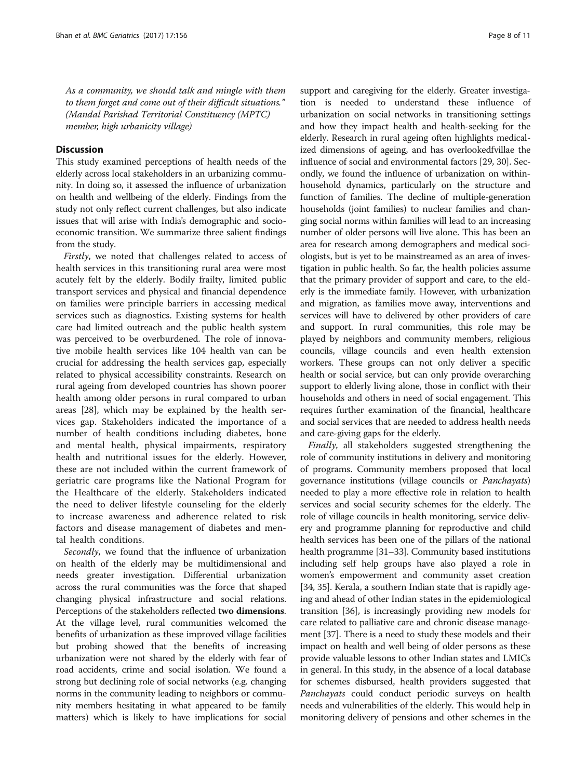As a community, we should talk and mingle with them to them forget and come out of their difficult situations." (Mandal Parishad Territorial Constituency (MPTC) member, high urbanicity village)

## **Discussion**

This study examined perceptions of health needs of the elderly across local stakeholders in an urbanizing community. In doing so, it assessed the influence of urbanization on health and wellbeing of the elderly. Findings from the study not only reflect current challenges, but also indicate issues that will arise with India's demographic and socioeconomic transition. We summarize three salient findings from the study.

Firstly, we noted that challenges related to access of health services in this transitioning rural area were most acutely felt by the elderly. Bodily frailty, limited public transport services and physical and financial dependence on families were principle barriers in accessing medical services such as diagnostics. Existing systems for health care had limited outreach and the public health system was perceived to be overburdened. The role of innovative mobile health services like 104 health van can be crucial for addressing the health services gap, especially related to physical accessibility constraints. Research on rural ageing from developed countries has shown poorer health among older persons in rural compared to urban areas [\[28](#page-10-0)], which may be explained by the health services gap. Stakeholders indicated the importance of a number of health conditions including diabetes, bone and mental health, physical impairments, respiratory health and nutritional issues for the elderly. However, these are not included within the current framework of geriatric care programs like the National Program for the Healthcare of the elderly. Stakeholders indicated the need to deliver lifestyle counseling for the elderly to increase awareness and adherence related to risk factors and disease management of diabetes and mental health conditions.

Secondly, we found that the influence of urbanization on health of the elderly may be multidimensional and needs greater investigation. Differential urbanization across the rural communities was the force that shaped changing physical infrastructure and social relations. Perceptions of the stakeholders reflected two dimensions. At the village level, rural communities welcomed the benefits of urbanization as these improved village facilities but probing showed that the benefits of increasing urbanization were not shared by the elderly with fear of road accidents, crime and social isolation. We found a strong but declining role of social networks (e.g. changing norms in the community leading to neighbors or community members hesitating in what appeared to be family matters) which is likely to have implications for social support and caregiving for the elderly. Greater investigation is needed to understand these influence of urbanization on social networks in transitioning settings and how they impact health and health-seeking for the elderly. Research in rural ageing often highlights medicalized dimensions of ageing, and has overlookedfvillae the influence of social and environmental factors [[29](#page-10-0), [30\]](#page-10-0). Secondly, we found the influence of urbanization on withinhousehold dynamics, particularly on the structure and function of families. The decline of multiple-generation households (joint families) to nuclear families and changing social norms within families will lead to an increasing number of older persons will live alone. This has been an area for research among demographers and medical sociologists, but is yet to be mainstreamed as an area of investigation in public health. So far, the health policies assume that the primary provider of support and care, to the elderly is the immediate family. However, with urbanization and migration, as families move away, interventions and services will have to delivered by other providers of care and support. In rural communities, this role may be played by neighbors and community members, religious councils, village councils and even health extension workers. These groups can not only deliver a specific health or social service, but can only provide overarching support to elderly living alone, those in conflict with their households and others in need of social engagement. This requires further examination of the financial, healthcare and social services that are needed to address health needs and care-giving gaps for the elderly.

Finally, all stakeholders suggested strengthening the role of community institutions in delivery and monitoring of programs. Community members proposed that local governance institutions (village councils or Panchayats) needed to play a more effective role in relation to health services and social security schemes for the elderly. The role of village councils in health monitoring, service delivery and programme planning for reproductive and child health services has been one of the pillars of the national health programme [[31](#page-10-0)–[33\]](#page-10-0). Community based institutions including self help groups have also played a role in women's empowerment and community asset creation [[34](#page-10-0), [35\]](#page-10-0). Kerala, a southern Indian state that is rapidly ageing and ahead of other Indian states in the epidemiological transition [\[36](#page-10-0)], is increasingly providing new models for care related to palliative care and chronic disease management [\[37\]](#page-10-0). There is a need to study these models and their impact on health and well being of older persons as these provide valuable lessons to other Indian states and LMICs in general. In this study, in the absence of a local database for schemes disbursed, health providers suggested that Panchayats could conduct periodic surveys on health needs and vulnerabilities of the elderly. This would help in monitoring delivery of pensions and other schemes in the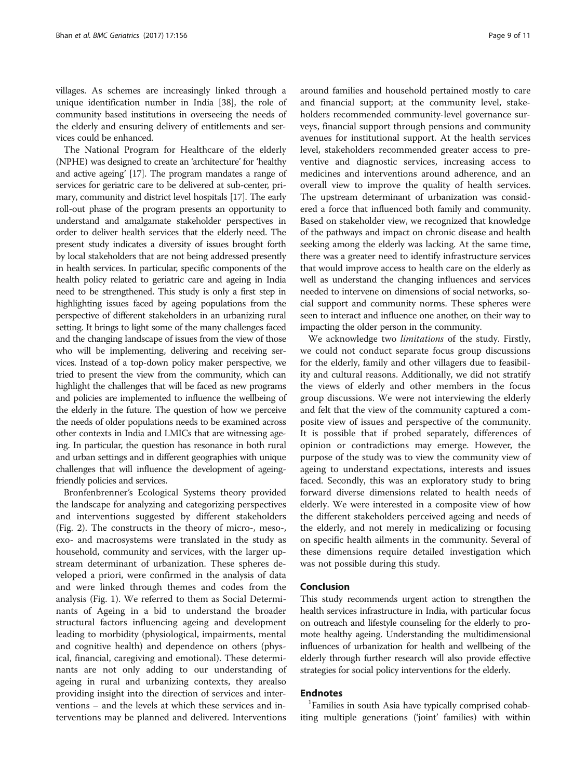villages. As schemes are increasingly linked through a unique identification number in India [[38](#page-10-0)], the role of community based institutions in overseeing the needs of the elderly and ensuring delivery of entitlements and services could be enhanced.

The National Program for Healthcare of the elderly (NPHE) was designed to create an 'architecture' for 'healthy and active ageing' [\[17\]](#page-9-0). The program mandates a range of services for geriatric care to be delivered at sub-center, primary, community and district level hospitals [\[17\]](#page-9-0). The early roll-out phase of the program presents an opportunity to understand and amalgamate stakeholder perspectives in order to deliver health services that the elderly need. The present study indicates a diversity of issues brought forth by local stakeholders that are not being addressed presently in health services. In particular, specific components of the health policy related to geriatric care and ageing in India need to be strengthened. This study is only a first step in highlighting issues faced by ageing populations from the perspective of different stakeholders in an urbanizing rural setting. It brings to light some of the many challenges faced and the changing landscape of issues from the view of those who will be implementing, delivering and receiving services. Instead of a top-down policy maker perspective, we tried to present the view from the community, which can highlight the challenges that will be faced as new programs and policies are implemented to influence the wellbeing of the elderly in the future. The question of how we perceive the needs of older populations needs to be examined across other contexts in India and LMICs that are witnessing ageing. In particular, the question has resonance in both rural and urban settings and in different geographies with unique challenges that will influence the development of ageingfriendly policies and services.

Bronfenbrenner's Ecological Systems theory provided the landscape for analyzing and categorizing perspectives and interventions suggested by different stakeholders (Fig. [2](#page-4-0)). The constructs in the theory of micro-, meso-, exo- and macrosystems were translated in the study as household, community and services, with the larger upstream determinant of urbanization. These spheres developed a priori, were confirmed in the analysis of data and were linked through themes and codes from the analysis (Fig. [1](#page-2-0)). We referred to them as Social Determinants of Ageing in a bid to understand the broader structural factors influencing ageing and development leading to morbidity (physiological, impairments, mental and cognitive health) and dependence on others (physical, financial, caregiving and emotional). These determinants are not only adding to our understanding of ageing in rural and urbanizing contexts, they arealso providing insight into the direction of services and interventions – and the levels at which these services and interventions may be planned and delivered. Interventions around families and household pertained mostly to care and financial support; at the community level, stakeholders recommended community-level governance surveys, financial support through pensions and community avenues for institutional support. At the health services level, stakeholders recommended greater access to preventive and diagnostic services, increasing access to medicines and interventions around adherence, and an overall view to improve the quality of health services. The upstream determinant of urbanization was considered a force that influenced both family and community. Based on stakeholder view, we recognized that knowledge of the pathways and impact on chronic disease and health seeking among the elderly was lacking. At the same time, there was a greater need to identify infrastructure services that would improve access to health care on the elderly as well as understand the changing influences and services needed to intervene on dimensions of social networks, social support and community norms. These spheres were seen to interact and influence one another, on their way to impacting the older person in the community.

We acknowledge two limitations of the study. Firstly, we could not conduct separate focus group discussions for the elderly, family and other villagers due to feasibility and cultural reasons. Additionally, we did not stratify the views of elderly and other members in the focus group discussions. We were not interviewing the elderly and felt that the view of the community captured a composite view of issues and perspective of the community. It is possible that if probed separately, differences of opinion or contradictions may emerge. However, the purpose of the study was to view the community view of ageing to understand expectations, interests and issues faced. Secondly, this was an exploratory study to bring forward diverse dimensions related to health needs of elderly. We were interested in a composite view of how the different stakeholders perceived ageing and needs of the elderly, and not merely in medicalizing or focusing on specific health ailments in the community. Several of these dimensions require detailed investigation which was not possible during this study.

#### Conclusion

This study recommends urgent action to strengthen the health services infrastructure in India, with particular focus on outreach and lifestyle counseling for the elderly to promote healthy ageing. Understanding the multidimensional influences of urbanization for health and wellbeing of the elderly through further research will also provide effective strategies for social policy interventions for the elderly.

## **Endnotes**

Families in south Asia have typically comprised cohabiting multiple generations ('joint' families) with within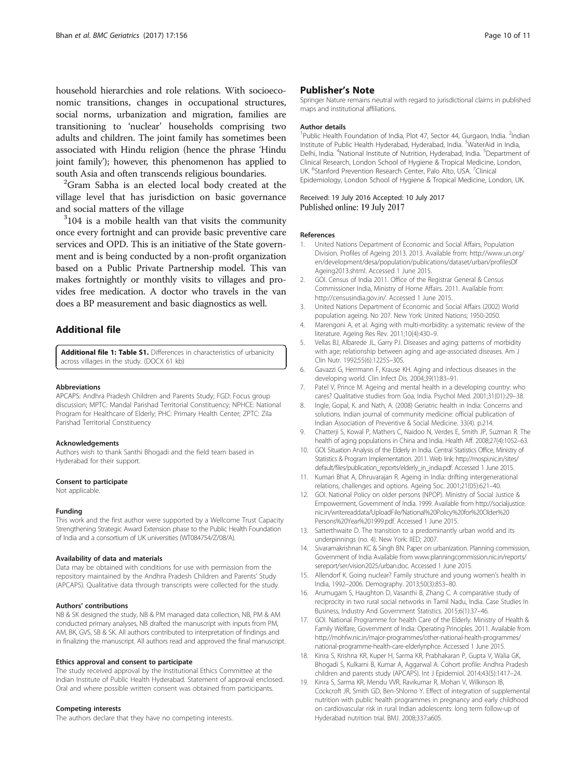<span id="page-9-0"></span>household hierarchies and role relations. With socioeconomic transitions, changes in occupational structures, social norms, urbanization and migration, families are transitioning to 'nuclear' households comprising two adults and children. The joint family has sometimes been associated with Hindu religion (hence the phrase 'Hindu joint family'); however, this phenomenon has applied to south Asia and often transcends religious boundaries.

 ${}^{2}$ Gram Sabha is an elected local body created at the village level that has jurisdiction on basic governance and social matters of the village

 $3104$  is a mobile health van that visits the community once every fortnight and can provide basic preventive care services and OPD. This is an initiative of the State government and is being conducted by a non-profit organization based on a Public Private Partnership model. This van makes fortnightly or monthly visits to villages and provides free medication. A doctor who travels in the van does a BP measurement and basic diagnostics as well.

## Additional file

[Additional file 1: Table S1.](dx.doi.org/10.1186/s12877-017-0544-y) Differences in characteristics of urbanicity across villages in the study. (DOCX 61 kb)

#### Abbreviations

APCAPS: Andhra Pradesh Children and Parents Study; FGD: Focus group discussion; MPTC: Mandal Parishad Territorial Constituency; NPHCE: National Program for Healthcare of Elderly; PHC: Primary Health Center; ZPTC: Zila Parishad Territorial Constituency

#### Acknowledgements

Authors wish to thank Santhi Bhogadi and the field team based in Hyderabad for their support.

#### Consent to participate

Not applicable.

#### Funding

This work and the first author were supported by a Wellcome Trust Capacity Strengthening Strategic Award Extension phase to the Public Health Foundation of India and a consortium of UK universities (WT084754/Z/08/A).

#### Availability of data and materials

Data may be obtained with conditions for use with permission from the repository maintained by the Andhra Pradesh Children and Parents' Study (APCAPS). Qualitative data through transcripts were collected for the study.

#### Authors' contributions

NB & SK designed the study, NB & PM managed data collection, NB, PM & AM conducted primary analyses, NB drafted the manuscript with inputs from PM, AM, BK, GVS, SB & SK. All authors contributed to interpretation of findings and in finalizing the manuscript. All authors read and approved the final manuscript.

#### Ethics approval and consent to participate

The study received approval by the Institutional Ethics Committee at the Indian Institute of Public Health Hyderabad. Statement of approval enclosed. Oral and where possible written consent was obtained from participants.

#### Competing interests

The authors declare that they have no competing interests.

#### Publisher's Note

Springer Nature remains neutral with regard to jurisdictional claims in published maps and institutional affiliations.

#### Author details

<sup>1</sup>Public Health Foundation of India, Plot 47, Sector 44, Gurgaon, India. <sup>2</sup>Indian Institute of Public Health Hyderabad, Hyderabad, India. <sup>3</sup>WaterAid in India, Delhi, India. <sup>4</sup>National Institute of Nutrition, Hyderabad, India. <sup>5</sup>Department of Clinical Research, London School of Hygiene & Tropical Medicine, London, UK. <sup>6</sup>Stanford Prevention Research Center, Palo Alto, USA. <sup>7</sup>Clinical Epidemiology, London School of Hygiene & Tropical Medicine, London, UK.

Received: 19 July 2016 Accepted: 10 July 2017 Published online: 19 July 2017

#### References

- 1. United Nations Department of Economic and Social Affairs, Population Division. Profiles of Ageing 2013. 2013. Available from: [http://www.un.org/](http://www.un.org/en/development/desa/population/publications/dataset/urban/profilesOfAgeing2013.shtml) [en/development/desa/population/publications/dataset/urban/profilesOf](http://www.un.org/en/development/desa/population/publications/dataset/urban/profilesOfAgeing2013.shtml) [Ageing2013.shtml.](http://www.un.org/en/development/desa/population/publications/dataset/urban/profilesOfAgeing2013.shtml) Accessed 1 June 2015.
- 2. GOI. Census of India 2011. Office of the Registrar General & Census Commissioner India, Ministry of Home Affairs. 2011. Available from: [http://censusindia.gov.in/.](http://censusindia.gov.in/) Accessed 1 June 2015.
- 3. United Nations Department of Economic and Social Affairs (2002) World population ageing. No 207. New York: United Nations; 1950-2050.
- 4. Marengoni A, et al. Aging with multi-morbidity: a systematic review of the literature. Ageing Res Rev. 2011;10(4):430–9.
- 5. Vellas BJ, Albarede JL, Garry PJ. Diseases and aging: patterns of morbidity with age; relationship between aging and age-associated diseases. Am J Clin Nutr. 1992;55(6):1225S–30S.
- 6. Gavazzi G, Herrmann F, Krause KH. Aging and infectious diseases in the developing world. Clin Infect Dis. 2004;39(1):83–91.
- 7. Patel V, Prince M. Ageing and mental health in a developing country: who cares? Qualitative studies from Goa, India. Psychol Med. 2001;31(01):29–38.
- 8. Ingle, Gopal, K. and Nath, A. (2008) Geriatric health in India: Concerns and solutions. Indian journal of community medicine: official publication of Indian Association of Preventive & Social Medicine. 33(4). p.214.
- 9. Chatterji S, Kowal P, Mathers C, Naidoo N, Verdes E, Smith JP, Suzman R. The health of aging populations in China and India. Health Aff. 2008;27(4):1052–63.
- 10. GOI. Situation Analysis of the Elderly in India. Central Statistics Office, Ministry of Statistics & Program Implementation. 2011. Web link: [http://mospi.nic.in/sites/](http://mospi.nic.in/sites/default/files/publication_reports/elderly_in_india.pdf) [default/files/publication\\_reports/elderly\\_in\\_india.pdf.](http://mospi.nic.in/sites/default/files/publication_reports/elderly_in_india.pdf) Accessed 1 June 2015.
- 11. Kumari Bhat A, Dhruvarajan R. Ageing in India: drifting intergenerational relations, challenges and options. Ageing Soc. 2001;21(05):621–40.
- 12. GOI. National Policy on older persons (NPOP). Ministry of Social Justice & Empowerment, Government of India. 1999. Available from [http://socialjustice.](http://socialjustice.nic.in/writereaddata/UploadFile/National%20Policy%20for%20Older%20Persons%20Year%201999.pdf) [nic.in/writereaddata/UploadFile/National%20Policy%20for%20Older%20](http://socialjustice.nic.in/writereaddata/UploadFile/National%20Policy%20for%20Older%20Persons%20Year%201999.pdf) [Persons%20Year%201999.pdf.](http://socialjustice.nic.in/writereaddata/UploadFile/National%20Policy%20for%20Older%20Persons%20Year%201999.pdf) Accessed 1 June 2015.
- 13. Satterthwaite D. The transition to a predominantly urban world and its underpinnings (no. 4). New York: IIED; 2007.
- 14. Sivaramakrishnan KC & Singh BN. Paper on urbanization. Planning commission, Government of India Available from [www.planningcommission.nic.in/reports/](http://www.planningcommission.nic.in/reports/sereport/ser/vision2025/urban.doc) [sereport/ser/vision2025/urban.doc](http://www.planningcommission.nic.in/reports/sereport/ser/vision2025/urban.doc). Accessed 1 June 2015.
- 15. Allendorf K. Going nuclear? Family structure and young women's health in India, 1992–2006. Demography. 2013;50(3):853–80.
- 16. Arumugam S, Haughton D, Vasanthi B, Zhang C. A comparative study of reciprocity in two rural social networks in Tamil Nadu, India. Case Studies In Business, Industry And Government Statistics. 2015;6(1):37–46.
- 17. GOI. National Programme for health Care of the Elderly. Ministry of Health & Family Welfare, Government of India: Operating Principles. 2011. Available from [http://mohfw.nic.in/major-programmes/other-national-health-programmes/](http://mohfw.nic.in/major-programmes/other-national-health-programmes/national-programme-health-care-elderlynphce) [national-programme-health-care-elderlynphce](http://mohfw.nic.in/major-programmes/other-national-health-programmes/national-programme-health-care-elderlynphce). Accessed 1 June 2015.
- 18. Kinra S, Krishna KR, Kuper H, Sarma KR, Prabhakaran P, Gupta V, Walia GK, Bhogadi S, Kulkarni B, Kumar A, Aggarwal A. Cohort profile: Andhra Pradesh children and parents study (APCAPS). Int J Epidemiol. 2014;43(5):1417–24.
- 19. Kinra S, Sarma KR, Mendu VVR, Ravikumar R, Mohan V, Wilkinson IB, Cockcroft JR, Smith GD, Ben-Shlomo Y. Effect of integration of supplemental nutrition with public health programmes in pregnancy and early childhood on cardiovascular risk in rural Indian adolescents: long term follow-up of Hyderabad nutrition trial. BMJ. 2008;337:a605.